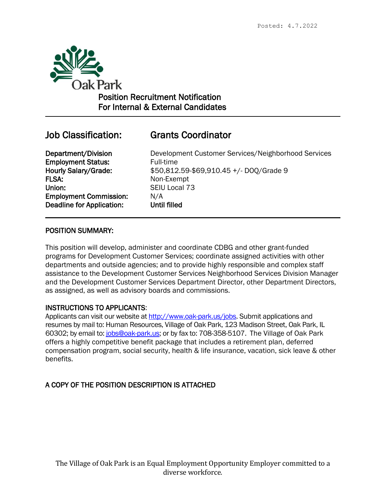

Position Recruitment Notification For Internal & External Candidates

 $\overline{a}$ 

# Job Classification: Grants Coordinator

**Employment Status:** Full-time FLSA: Non-Exempt Union: SEIU Local 73 Employment Commission: N/A Deadline for Application: Until filled

Department/Division Development Customer Services/Neighborhood Services Hourly Salary/Grade: \$50,812.59-\$69,910.45 +/- DOQ/Grade 9

## POSITION SUMMARY:

This position will develop, administer and coordinate CDBG and other grant-funded programs for Development Customer Services; coordinate assigned activities with other departments and outside agencies; and to provide highly responsible and complex staff assistance to the Development Customer Services Neighborhood Services Division Manager and the Development Customer Services Department Director, other Department Directors, as assigned, as well as advisory boards and commissions.

## INSTRUCTIONS TO APPLICANTS:

Applicants can visit our website at [http://www.oak-park.us/j](http://www.oak-park.us/)obs. Submit applications and resumes by mail to: Human Resources, Village of Oak Park, 123 Madison Street, Oak Park, IL 60302; by email to: [jobs@oak-park.us;](mailto:jobs@oak-park.us) or by fax to: 708-358-5107. The Village of Oak Park offers a highly competitive benefit package that includes a retirement plan, deferred compensation program, social security, health & life insurance, vacation, sick leave & other benefits.

## A COPY OF THE POSITION DESCRIPTION IS ATTACHED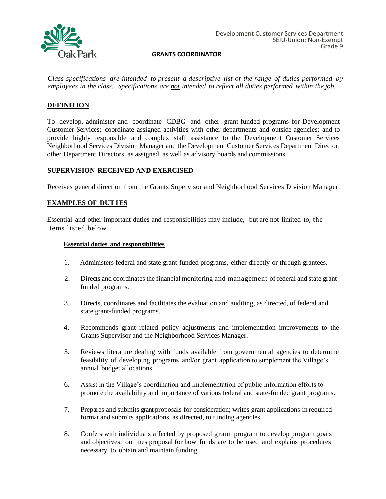

*Class specifications are intended to present a descriptive list of the range of duties performed by employees in the class. Specifications are not intended to reflect all duties performed within the job.*

### **DEFINITION**

To develop, administer and coordinate CDBG and other grant-funded programs for Development Customer Services; coordinate assigned activities with other departments and outside agencies; and to provide highly responsible and complex staff assistance to the Development Customer Services Neighborhood Services Division Manager and the Development Customer Services Department Director, other Department Directors, as assigned, as well as advisory boards and commissions.

#### **SUPERVISION RECEIVED AND EXERCISED**

Receives general direction from the Grants Supervisor and Neighborhood Services Division Manager.

#### **EXAMPLES OF DUTIES**

Essential and other important duties and responsibilities may include, but are not limited to, the items listed below.

#### **Essential duties and responsibilities**

- 1. Administers federal and state grant-funded programs, either directly or through grantees.
- 2. Directs and coordinates the financial monitoring and management of federal and state grantfunded programs.
- 3. Directs, coordinates and facilitates the evaluation and auditing, as directed, of federal and state grant-funded programs.
- 4. Recommends grant related policy adjustments and implementation improvements to the Grants Supervisor and the Neighborhood Services Manager.
- 5. Reviews literature dealing with funds available from governmental agencies to determine feasibility of developing programs and/or grant application to supplement the Village's annual budget allocations.
- 6. Assist in the Village's coordination and implementation of public information efforts to promote the availability and importance of various federal and state-funded grant programs.
- 7. Prepares and submits grant proposals for consideration; writes grant applications in required format and submits applications, as directed, to funding agencies.
- 8. Confers with individuals affected by proposed grant program to develop program goals and objectives; outlines proposal for how funds are to be used and explains procedures necessary to obtain and maintain funding.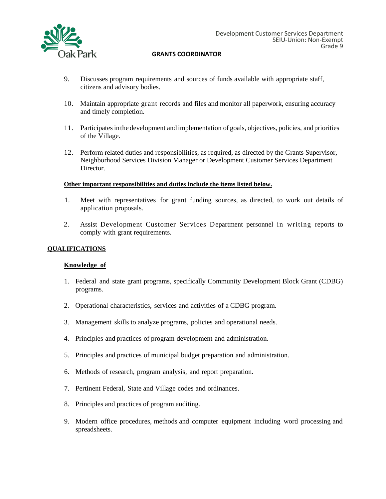

- 9. Discusses program requirements and sources of funds available with appropriate staff, citizens and advisory bodies.
- 10. Maintain appropriate grant records and files and monitor all paperwork, ensuring accuracy and timely completion.
- 11. Participates in the development and implementation of goals, objectives, policies, and priorities of the Village.
- 12. Perform related duties and responsibilities, as required, as directed by the Grants Supervisor, Neighborhood Services Division Manager or Development Customer Services Department Director.

#### **Other important responsibilities and duties include the items listed below.**

- 1. Meet with representatives for grant funding sources, as directed, to work out details of application proposals.
- 2. Assist Development Customer Services Department personnel in writing reports to comply with grant requirements.

#### **QUALIFICATIONS**

#### **Knowledge of**

- 1. Federal and state grant programs, specifically Community Development Block Grant (CDBG) programs.
- 2. Operational characteristics, services and activities of a CDBG program.
- 3. Management skills to analyze programs, policies and operational needs.
- 4. Principles and practices of program development and administration.
- 5. Principles and practices of municipal budget preparation and administration.
- 6. Methods of research, program analysis, and report preparation.
- 7. Pertinent Federal, State and Village codes and ordinances.
- 8. Principles and practices of program auditing.
- 9. Modern office procedures, methods and computer equipment including word processing and spreadsheets.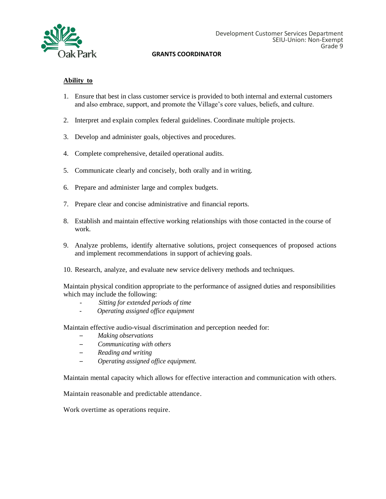

#### **Ability to**

- 1. Ensure that best in class customer service is provided to both internal and external customers and also embrace, support, and promote the Village's core values, beliefs, and culture.
- 2. Interpret and explain complex federal guidelines. Coordinate multiple projects.
- 3. Develop and administer goals, objectives and procedures.
- 4. Complete comprehensive, detailed operational audits.
- 5. Communicate clearly and concisely, both orally and in writing.
- 6. Prepare and administer large and complex budgets.
- 7. Prepare clear and concise administrative and financial reports.
- 8. Establish and maintain effective working relationships with those contacted in the course of work.
- 9. Analyze problems, identify alternative solutions, project consequences of proposed actions and implement recommendations in support of achieving goals.
- 10. Research, analyze, and evaluate new service delivery methods and techniques.

Maintain physical condition appropriate to the performance of assigned duties and responsibilities which may include the following:

- *Sitting for extended periods of time*
- *Operating assigned office equipment*

Maintain effective audio-visual discrimination and perception needed for:

- *─ Making observations*
- *─ Communicating with others*
- *─ Reading and writing*
- *─ Operating assigned office equipment.*

Maintain mental capacity which allows for effective interaction and communication with others.

Maintain reasonable and predictable attendance.

Work overtime as operations require.